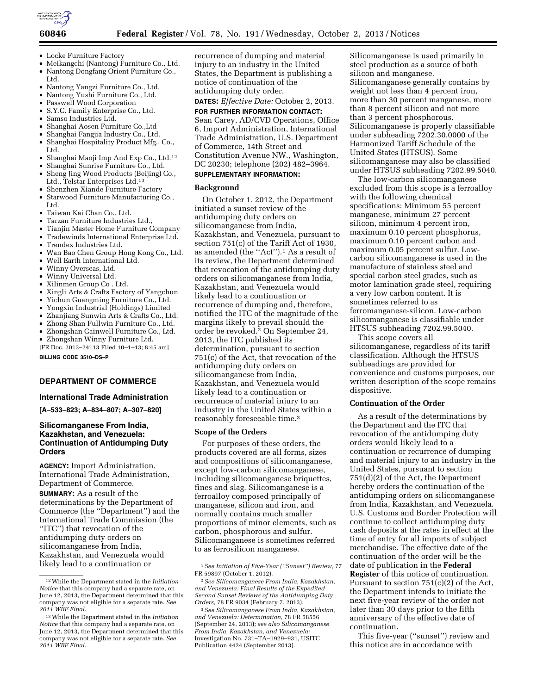

- Locke Furniture Factory
- Meikangchi (Nantong) Furniture Co., Ltd. • Nantong Dongfang Orient Furniture Co., Ltd.
- Nantong Yangzi Furniture Co., Ltd.
- Nantong Yushi Furniture Co., Ltd.
- Passwell Wood Corporation
- S.Y.C. Family Enterprise Co., Ltd.
- Samso Industries Ltd.
- Shanghai Aosen Furniture Co.,Ltd
- Shanghai Fangjia Industry Co., Ltd.
- Shanghai Hospitality Product Mfg., Co., Ltd.
- Shanghai Maoji Imp And Exp Co., Ltd.12
- Shanghai Sunrise Furniture Co., Ltd.
- Sheng Jing Wood Products (Beijing) Co., Ltd., Telstar Enterprises Ltd.<sup>13</sup>
- Shenzhen Xiande Furniture Factory • Starwood Furniture Manufacturing Co.,
- Ltd.
- Taiwan Kai Chan Co., Ltd.
- Tarzan Furniture Industries Ltd.,
- Tianjin Master Home Furniture Company
- Tradewinds International Enterprise Ltd.
- Trendex Industries Ltd.
- Wan Bao Chen Group Hong Kong Co., Ltd.
- Well Earth International Ltd.
- Winny Overseas, Ltd.
- Winny Universal Ltd.
- Xilinmen Group Co . Ltd.
- Xingli Arts & Crafts Factory of Yangchun
- Yichun Guangming Furniture Co., Ltd.
- Yongxin Industrial (Holdings) Limited
- Zhanjiang Sunwin Arts & Crafts Co., Ltd.
- Zhong Shan Fullwin Furniture Co., Ltd.
- Zhongshan Gainwell Furniture Co., Ltd.
- Zhongshan Winny Furniture Ltd.

[FR Doc. 2013–24113 Filed 10–1–13; 8:45 am]

**BILLING CODE 3510–DS–P** 

# **DEPARTMENT OF COMMERCE**

## **International Trade Administration**

**[A–533–823; A–834–807; A–307–820]** 

## **Silicomanganese From India, Kazakhstan, and Venezuela: Continuation of Antidumping Duty Orders**

**AGENCY:** Import Administration, International Trade Administration, Department of Commerce.

**SUMMARY:** As a result of the determinations by the Department of Commerce (the ''Department'') and the International Trade Commission (the ''ITC'') that revocation of the antidumping duty orders on silicomanganese from India, Kazakhstan, and Venezuela would likely lead to a continuation or

recurrence of dumping and material injury to an industry in the United States, the Department is publishing a notice of continuation of the antidumping duty order.

**DATES:** *Effective Date:* October 2, 2013.

**FOR FURTHER INFORMATION CONTACT:**  Sean Carey, AD/CVD Operations, Office 6, Import Administration, International Trade Administration, U.S. Department of Commerce, 14th Street and Constitution Avenue NW., Washington, DC 20230; telephone (202) 482–3964. **SUPPLEMENTARY INFORMATION:** 

#### **Background**

On October 1, 2012, the Department initiated a sunset review of the antidumping duty orders on silicomanganese from India, Kazakhstan, and Venezuela, pursuant to section 751(c) of the Tariff Act of 1930, as amended (the ''Act'').1 As a result of its review, the Department determined that revocation of the antidumping duty orders on silicomanganese from India, Kazakhstan, and Venezuela would likely lead to a continuation or recurrence of dumping and, therefore, notified the ITC of the magnitude of the margins likely to prevail should the order be revoked.<sup>2</sup> On September 24, 2013, the ITC published its determination, pursuant to section 751(c) of the Act, that revocation of the antidumping duty orders on silicomanganese from India, Kazakhstan, and Venezuela would likely lead to a continuation or recurrence of material injury to an industry in the United States within a reasonably foreseeable time.3

## **Scope of the Orders**

For purposes of these orders, the products covered are all forms, sizes and compositions of silicomanganese, except low-carbon silicomanganese, including silicomanganese briquettes, fines and slag. Silicomanganese is a ferroalloy composed principally of manganese, silicon and iron, and normally contains much smaller proportions of minor elements, such as carbon, phosphorous and sulfur. Silicomanganese is sometimes referred to as ferrosilicon manganese.

Silicomanganese is used primarily in steel production as a source of both silicon and manganese. Silicomanganese generally contains by weight not less than 4 percent iron, more than 30 percent manganese, more than 8 percent silicon and not more than 3 percent phosphorous. Silicomanganese is properly classifiable under subheading 7202.30.0000 of the Harmonized Tariff Schedule of the United States (HTSUS). Some silicomanganese may also be classified under HTSUS subheading 7202.99.5040.

The low-carbon silicomanganese excluded from this scope is a ferroalloy with the following chemical specifications: Minimum 55 percent manganese, minimum 27 percent silicon, minimum 4 percent iron, maximum 0.10 percent phosphorus, maximum 0.10 percent carbon and maximum 0.05 percent sulfur. Lowcarbon silicomanganese is used in the manufacture of stainless steel and special carbon steel grades, such as motor lamination grade steel, requiring a very low carbon content. It is sometimes referred to as ferromanganese-silicon. Low-carbon silicomanganese is classifiable under HTSUS subheading 7202.99.5040.

This scope covers all silicomanganese, regardless of its tariff classification. Although the HTSUS subheadings are provided for convenience and customs purposes, our written description of the scope remains dispositive.

# **Continuation of the Order**

As a result of the determinations by the Department and the ITC that revocation of the antidumping duty orders would likely lead to a continuation or recurrence of dumping and material injury to an industry in the United States, pursuant to section 751(d)(2) of the Act, the Department hereby orders the continuation of the antidumping orders on silicomanganese from India, Kazakhstan, and Venezuela. U.S. Customs and Border Protection will continue to collect antidumping duty cash deposits at the rates in effect at the time of entry for all imports of subject merchandise. The effective date of the continuation of the order will be the date of publication in the **Federal Register** of this notice of continuation. Pursuant to section 751(c)(2) of the Act, the Department intends to initiate the next five-year review of the order not later than 30 days prior to the fifth anniversary of the effective date of continuation.

This five-year (''sunset'') review and this notice are in accordance with

<sup>12</sup>While the Department stated in the *Initiation Notice* that this company had a separate rate, on June 12, 2013, the Department determined that this company was not eligible for a separate rate. *See 2011 WBF Final.* 

<sup>13</sup>While the Department stated in the *Initiation Notice* that this company had a separate rate, on June 12, 2013, the Department determined that this company was not eligible for a separate rate. *See 2011 WBF Final.* 

<sup>1</sup>*See Initiation of Five-Year (''Sunset'') Review,* 77 FR 59897 (October 1, 2012).

<sup>2</sup>*See Silicomanganese From India, Kazakhstan, and Venezuela: Final Results of the Expedited Second Sunset Reviews of the Antidumping Duty Orders,* 78 FR 9034 (February 7, 2013).

<sup>3</sup>*See Silicomanganese From India, Kazakhstan, and Venezuela: Determination,* 78 FR 58556 (September 24, 2013); *see also Silicomanganese From India, Kazakhstan, and Venezuela:*  Investigation No. 731–TA–1929–931, USITC Publication 4424 (September 2013).